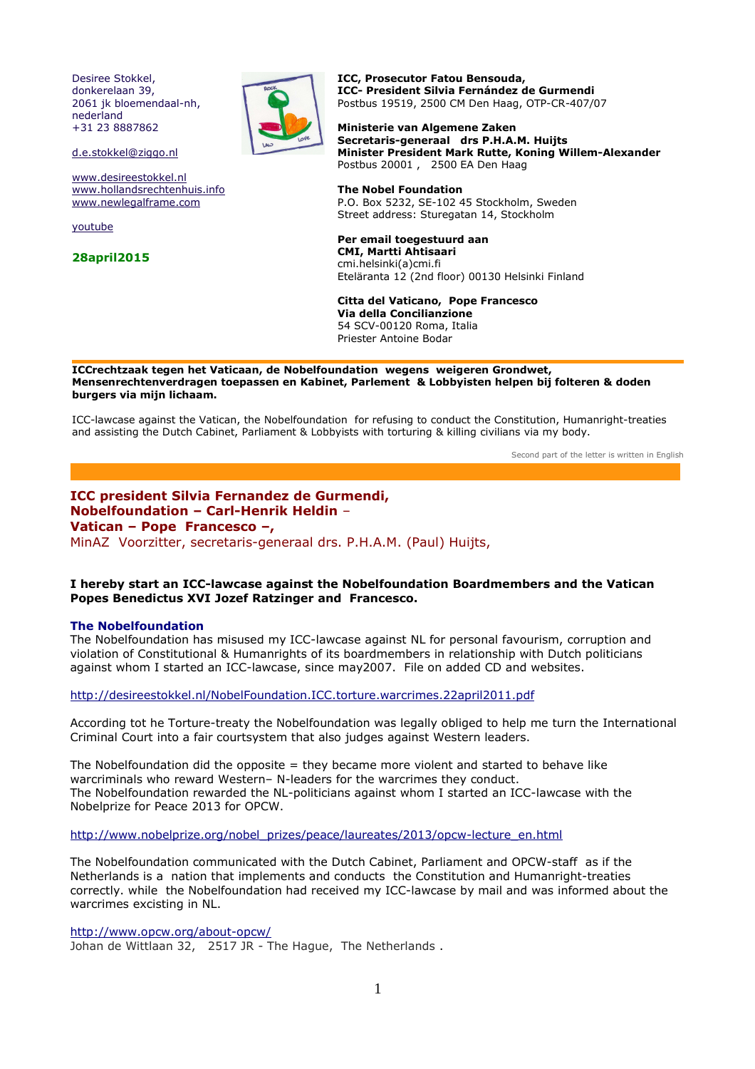Desiree Stokkel, donkerelaan 39, 2061 jk bloemendaal-nh, nederland +31 23 8887862



d.e.stokkel@ziggo.nl

www.desireestokkel.nl www.hollandsrechtenhuis.info www.newlegalframe.com

youtube

**28april2015**

**ICC, Prosecutor Fatou Bensouda, ICC- President Silvia Fernández de Gurmendi**  Postbus 19519, 2500 CM Den Haag, OTP-CR-407/07

**Ministerie van Algemene Zaken Secretaris-generaal drs P.H.A.M. Huijts Minister President Mark Rutte, Koning Willem-Alexander**  Postbus 20001 , 2500 EA Den Haag

**The Nobel Foundation** P.O. Box 5232, SE-102 45 Stockholm, Sweden Street address: Sturegatan 14, Stockholm

**Per email toegestuurd aan CMI, Martti Ahtisaari** cmi.helsinki(a)cmi.fi Eteläranta 12 (2nd floor) 00130 Helsinki Finland

**Citta del Vaticano, Pope Francesco Via della Concilianzione**  54 SCV-00120 Roma, Italia Priester Antoine Bodar

**ICCrechtzaak tegen het Vaticaan, de Nobelfoundation wegens weigeren Grondwet, Mensenrechtenverdragen toepassen en Kabinet, Parlement & Lobbyisten helpen bij folteren & doden burgers via mijn lichaam.**

ICC-lawcase against the Vatican, the Nobelfoundation for refusing to conduct the Constitution, Humanright-treaties and assisting the Dutch Cabinet, Parliament & Lobbyists with torturing & killing civilians via my body.

Second part of the letter is written in English

# **ICC president Silvia Fernandez de Gurmendi, Nobelfoundation – Carl-Henrik Heldin** – **Vatican – Pope Francesco –,** MinAZ Voorzitter, secretaris-generaal drs. P.H.A.M. (Paul) Huijts,

# **I hereby start an ICC-lawcase against the Nobelfoundation Boardmembers and the Vatican Popes Benedictus XVI Jozef Ratzinger and Francesco.**

#### **The Nobelfoundation**

The Nobelfoundation has misused my ICC-lawcase against NL for personal favourism, corruption and violation of Constitutional & Humanrights of its boardmembers in relationship with Dutch politicians against whom I started an ICC-lawcase, since may2007. File on added CD and websites.

http://desireestokkel.nl/NobelFoundation.ICC.torture.warcrimes.22april2011.pdf

According tot he Torture-treaty the Nobelfoundation was legally obliged to help me turn the International Criminal Court into a fair courtsystem that also judges against Western leaders.

The Nobelfoundation did the opposite  $=$  they became more violent and started to behave like warcriminals who reward Western– N-leaders for the warcrimes they conduct. The Nobelfoundation rewarded the NL-politicians against whom I started an ICC-lawcase with the Nobelprize for Peace 2013 for OPCW.

http://www.nobelprize.org/nobel\_prizes/peace/laureates/2013/opcw-lecture\_en.html

The Nobelfoundation communicated with the Dutch Cabinet, Parliament and OPCW-staff as if the Netherlands is a nation that implements and conducts the Constitution and Humanright-treaties correctly. while the Nobelfoundation had received my ICC-lawcase by mail and was informed about the warcrimes excisting in NL.

http://www.opcw.org/about-opcw/

Johan de Wittlaan 32, 2517 JR - The Hague, The Netherlands .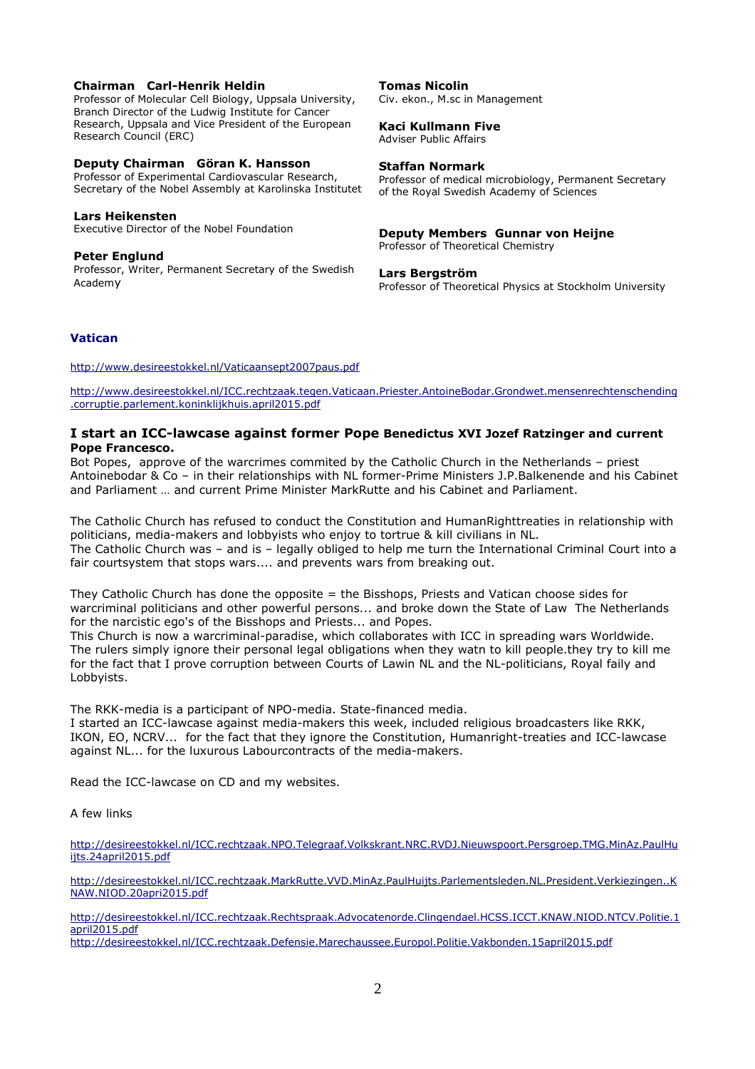### **Chairman Carl-Henrik Heldin**

Professor of Molecular Cell Biology, Uppsala University, Branch Director of the Ludwig Institute for Cancer Research, Uppsala and Vice President of the European Research Council (ERC)

### **Deputy Chairman Göran K. Hansson**

Professor of Experimental Cardiovascular Research, Secretary of the Nobel Assembly at Karolinska Institutet

### **Lars Heikensten**

Executive Director of the Nobel Foundation

### **Peter Englund**

Professor, Writer, Permanent Secretary of the Swedish Academy

#### **Tomas Nicolin**

Civ. ekon., M.sc in Management

### **Kaci Kullmann Five**

Adviser Public Affairs

#### **Staffan Normark**

Professor of medical microbiology, Permanent Secretary of the Royal Swedish Academy of Sciences

**Deputy Members Gunnar von Heijne**

Professor of Theoretical Chemistry

### **Lars Bergström**

Professor of Theoretical Physics at Stockholm University

### **Vatican**

http://www.desireestokkel.nl/Vaticaansept2007paus.pdf

http://www.desireestokkel.nl/ICC.rechtzaak.tegen.Vaticaan.Priester.AntoineBodar.Grondwet.mensenrechtenschending .corruptie.parlement.koninklijkhuis.april2015.pdf

# **I start an ICC-lawcase against former Pope Benedictus XVI Jozef Ratzinger and current Pope Francesco.**

Bot Popes, approve of the warcrimes commited by the Catholic Church in the Netherlands – priest Antoinebodar & Co – in their relationships with NL former-Prime Ministers J.P.Balkenende and his Cabinet and Parliament … and current Prime Minister MarkRutte and his Cabinet and Parliament.

The Catholic Church has refused to conduct the Constitution and HumanRighttreaties in relationship with politicians, media-makers and lobbyists who enjoy to tortrue & kill civilians in NL. The Catholic Church was – and is – legally obliged to help me turn the International Criminal Court into a fair courtsystem that stops wars.... and prevents wars from breaking out.

They Catholic Church has done the opposite = the Bisshops, Priests and Vatican choose sides for warcriminal politicians and other powerful persons... and broke down the State of Law The Netherlands for the narcistic ego's of the Bisshops and Priests... and Popes.

This Church is now a warcriminal-paradise, which collaborates with ICC in spreading wars Worldwide. The rulers simply ignore their personal legal obligations when they watn to kill people.they try to kill me for the fact that I prove corruption between Courts of Lawin NL and the NL-politicians, Royal faily and Lobbyists.

The RKK-media is a participant of NPO-media. State-financed media.

I started an ICC-lawcase against media-makers this week, included religious broadcasters like RKK, IKON, EO, NCRV... for the fact that they ignore the Constitution, Humanright-treaties and ICC-lawcase against NL... for the luxurous Labourcontracts of the media-makers.

Read the ICC-lawcase on CD and my websites.

### A few links

http://desireestokkel.nl/ICC.rechtzaak.NPO.Telegraaf.Volkskrant.NRC.RVDJ.Nieuwspoort.Persgroep.TMG.MinAz.PaulHu ijts.24april2015.pdf

http://desireestokkel.nl/ICC.rechtzaak.MarkRutte.VVD.MinAz.PaulHuijts.Parlementsleden.NL.President.Verkiezingen..K NAW.NIOD.20apri2015.pdf

http://desireestokkel.nl/ICC.rechtzaak.Rechtspraak.Advocatenorde.Clingendael.HCSS.ICCT.KNAW.NIOD.NTCV.Politie.1 april2015.pdf

http://desireestokkel.nl/ICC.rechtzaak.Defensie.Marechaussee.Europol.Politie.Vakbonden.15april2015.pdf